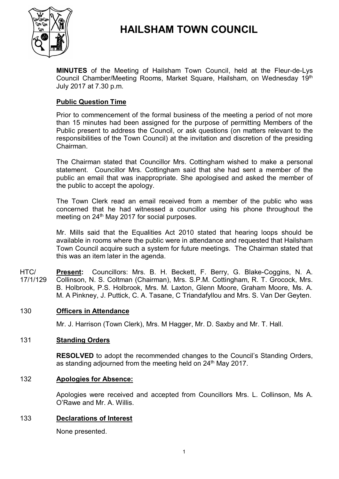

# **HAILSHAM TOWN COUNCIL**

**MINUTES** of the Meeting of Hailsham Town Council, held at the Fleur-de-Lys Council Chamber/Meeting Rooms, Market Square, Hailsham, on Wednesday 19th July 2017 at 7.30 p.m.

### **Public Question Time**

Prior to commencement of the formal business of the meeting a period of not more than 15 minutes had been assigned for the purpose of permitting Members of the Public present to address the Council, or ask questions (on matters relevant to the responsibilities of the Town Council) at the invitation and discretion of the presiding Chairman.

The Chairman stated that Councillor Mrs. Cottingham wished to make a personal statement. Councillor Mrs. Cottingham said that she had sent a member of the public an email that was inappropriate. She apologised and asked the member of the public to accept the apology.

The Town Clerk read an email received from a member of the public who was concerned that he had witnessed a councillor using his phone throughout the meeting on 24<sup>th</sup> May 2017 for social purposes.

Mr. Mills said that the Equalities Act 2010 stated that hearing loops should be available in rooms where the public were in attendance and requested that Hailsham Town Council acquire such a system for future meetings. The Chairman stated that this was an item later in the agenda.

 $HTC/$ 17/1/129 **Present:** Councillors: Mrs. B. H. Beckett, F. Berry, G. Blake-Coggins, N. A. Collinson, N. S. Coltman (Chairman), Mrs. S.P.M. Cottingham, R. T. Grocock, Mrs. B. Holbrook, P.S. Holbrook, Mrs. M. Laxton, Glenn Moore, Graham Moore, Ms. A. M. A Pinkney, J. Puttick, C. A. Tasane, C Triandafyllou and Mrs. S. Van Der Geyten.

### 130 **Officers in Attendance**

Mr. J. Harrison (Town Clerk), Mrs. M Hagger, Mr. D. Saxby and Mr. T. Hall.

#### 131 **Standing Orders**

**RESOLVED** to adopt the recommended changes to the Council's Standing Orders, as standing adjourned from the meeting held on 24<sup>th</sup> May 2017.

#### 132 **Apologies for Absence:**

Apologies were received and accepted from Councillors Mrs. L. Collinson, Ms A. O'Rawe and Mr. A. Willis.

#### 133 **Declarations of Interest**

None presented.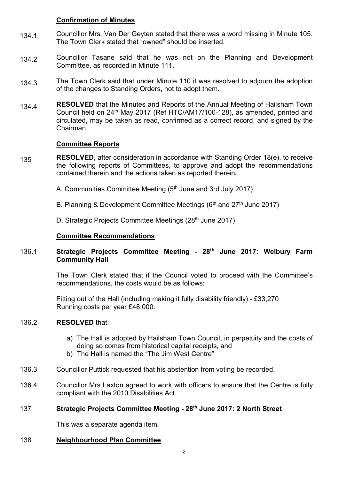### **Confirmation of Minutes**

- 134.1 Councillor Mrs. Van Der Geyten stated that there was a word missing in Minute 105. The Town Clerk stated that "owned" should be inserted.
- 134.2 Councillor Tasane said that he was not on the Planning and Development Committee, as recorded in Minute 111.
- 134.3 The Town Clerk said that under Minute 110 it was resolved to adjourn the adoption of the changes to Standing Orders, not to adopt them.
- 134.4 **RESOLVED** that the Minutes and Reports of the Annual Meeting of Hailsham Town Council held on 24<sup>th</sup> May 2017 (Ref HTC/AM17/100-128), as amended, printed and circulated, may be taken as read, confirmed as a correct record, and signed by the Chairman

## **Committee Reports**

- 135 **RESOLVED**, after consideration in accordance with Standing Order 18(e), to receive the following reports of Committees, to approve and adopt the recommendations contained therein and the actions taken as reported therein**.**
	- A. Communities Committee Meeting (5<sup>th</sup> June and 3rd July 2017)
	- B. Planning & Development Committee Meetings ( $6<sup>th</sup>$  and  $27<sup>th</sup>$  June 2017)
	- D. Strategic Projects Committee Meetings (28<sup>th</sup> June 2017)

### **Committee Recommendations**

#### 136.1 **Strategic Projects Committee Meeting - 28th June 2017: Welbury Farm Community Hall**

The Town Clerk stated that if the Council voted to proceed with the Committee's recommendations, the costs would be as follows:

Fitting out of the Hall (including making it fully disability friendly) - £33,270 Running costs per year £48,000.

#### 136.2 **RESOLVED** that:

- a) The Hall is adopted by Hailsham Town Council, in perpetuity and the costs of doing so comes from historical capital receipts, and
- b) The Hall is named the "The Jim West Centre"
- 136.3 Councillor Puttick requested that his abstention from voting be recorded.
- 136.4 Councillor Mrs Laxton agreed to work with officers to ensure that the Centre is fully compliant with the 2010 Disabilities Act.

### 137 **Strategic Projects Committee Meeting - 28th June 2017: 2 North Street**

This was a separate agenda item.

138 **Neighbourhood Plan Committee**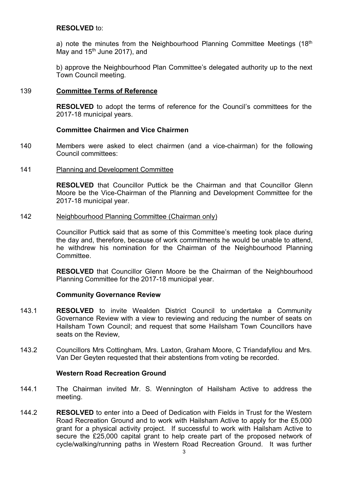### **RESOLVED** to:

a) note the minutes from the Neighbourhood Planning Committee Meetings  $(18<sup>th</sup>)$ May and  $15<sup>th</sup>$  June 2017), and

b) approve the Neighbourhood Plan Committee's delegated authority up to the next Town Council meeting.

### 139 **Committee Terms of Reference**

**RESOLVED** to adopt the terms of reference for the Council's committees for the 2017-18 municipal years.

### **Committee Chairmen and Vice Chairmen**

140 Members were asked to elect chairmen (and a vice-chairman) for the following Council committees:

#### 141 Planning and Development Committee

**RESOLVED** that Councillor Puttick be the Chairman and that Councillor Glenn Moore be the Vice-Chairman of the Planning and Development Committee for the 2017-18 municipal year.

#### 142 Neighbourhood Planning Committee (Chairman only)

Councillor Puttick said that as some of this Committee's meeting took place during the day and, therefore, because of work commitments he would be unable to attend, he withdrew his nomination for the Chairman of the Neighbourhood Planning **Committee.** 

**RESOLVED** that Councillor Glenn Moore be the Chairman of the Neighbourhood Planning Committee for the 2017-18 municipal year.

### **Community Governance Review**

- 143.1 **RESOLVED** to invite Wealden District Council to undertake a Community Governance Review with a view to reviewing and reducing the number of seats on Hailsham Town Council; and request that some Hailsham Town Councillors have seats on the Review,
- 143.2 Councillors Mrs Cottingham, Mrs. Laxton, Graham Moore, C Triandafyllou and Mrs. Van Der Geyten requested that their abstentions from voting be recorded.

### **Western Road Recreation Ground**

- 144.1 The Chairman invited Mr. S. Wennington of Hailsham Active to address the meeting.
- 144.2 **RESOLVED** to enter into a Deed of Dedication with Fields in Trust for the Western Road Recreation Ground and to work with Hailsham Active to apply for the £5,000 grant for a physical activity project. If successful to work with Hailsham Active to secure the £25,000 capital grant to help create part of the proposed network of cycle/walking/running paths in Western Road Recreation Ground. It was further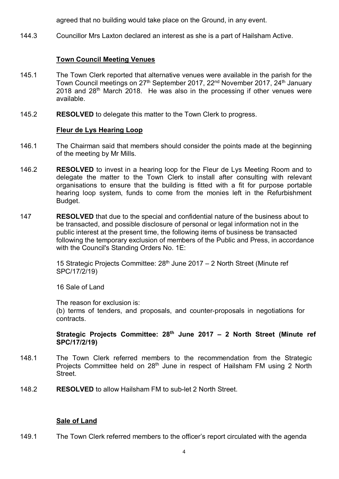agreed that no building would take place on the Ground, in any event.

144.3 Councillor Mrs Laxton declared an interest as she is a part of Hailsham Active.

### **Town Council Meeting Venues**

- 145.1 The Town Clerk reported that alternative venues were available in the parish for the Town Council meetings on 27<sup>th</sup> September 2017, 22<sup>nd</sup> November 2017, 24<sup>th</sup> January 2018 and 28th March 2018. He was also in the processing if other venues were available.
- 145.2 **RESOLVED** to delegate this matter to the Town Clerk to progress.

### **Fleur de Lys Hearing Loop**

- 146.1 The Chairman said that members should consider the points made at the beginning of the meeting by Mr Mills.
- 146.2 **RESOLVED** to invest in a hearing loop for the Fleur de Lys Meeting Room and to delegate the matter to the Town Clerk to install after consulting with relevant organisations to ensure that the building is fitted with a fit for purpose portable hearing loop system, funds to come from the monies left in the Refurbishment Budget.
- 147 **RESOLVED** that due to the special and confidential nature of the business about to be transacted, and possible disclosure of personal or legal information not in the public interest at the present time, the following items of business be transacted following the temporary exclusion of members of the Public and Press, in accordance with the Council's Standing Orders No. 1E:

15 Strategic Projects Committee:  $28<sup>th</sup>$  June 2017 – 2 North Street (Minute ref SPC/17/2/19)

16 Sale of Land

The reason for exclusion is:

(b) terms of tenders, and proposals, and counter-proposals in negotiations for contracts.

### **Strategic Projects Committee: 28th June 2017 – 2 North Street (Minute ref SPC/17/2/19)**

- 148.1 The Town Clerk referred members to the recommendation from the Strategic Projects Committee held on 28<sup>th</sup> June in respect of Hailsham FM using 2 North **Street**
- 148.2 **RESOLVED** to allow Hailsham FM to sub-let 2 North Street.

### **Sale of Land**

149.1 The Town Clerk referred members to the officer's report circulated with the agenda